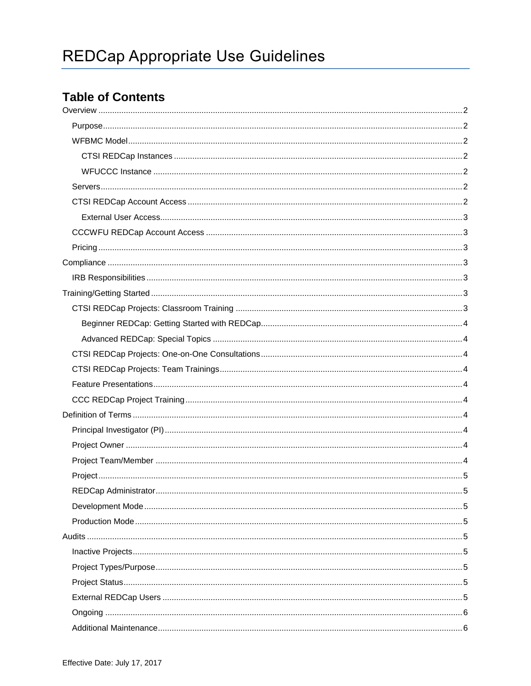# **Table of Contents**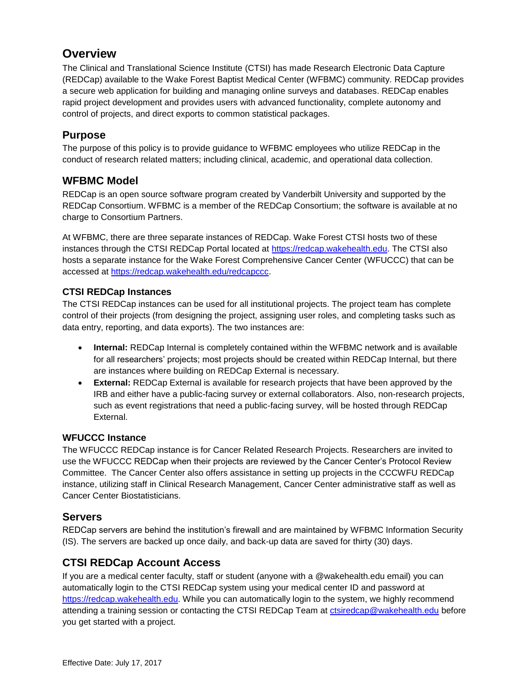# <span id="page-1-0"></span>**Overview**

The Clinical and Translational Science Institute (CTSI) has made Research Electronic Data Capture (REDCap) available to the Wake Forest Baptist Medical Center (WFBMC) community. REDCap provides a secure web application for building and managing online surveys and databases. REDCap enables rapid project development and provides users with advanced functionality, complete autonomy and control of projects, and direct exports to common statistical packages.

## <span id="page-1-1"></span>**Purpose**

The purpose of this policy is to provide guidance to WFBMC employees who utilize REDCap in the conduct of research related matters; including clinical, academic, and operational data collection.

### <span id="page-1-2"></span>**WFBMC Model**

REDCap is an open source software program created by Vanderbilt University and supported by the REDCap Consortium. WFBMC is a member of the REDCap Consortium; the software is available at no charge to Consortium Partners.

At WFBMC, there are three separate instances of REDCap. Wake Forest CTSI hosts two of these instances through the CTSI REDCap Portal located at [https://redcap.wakehealth.edu.](https://redcap.wakehealth.edu/) The CTSI also hosts a separate instance for the Wake Forest Comprehensive Cancer Center (WFUCCC) that can be accessed at [https://redcap.wakehealth.edu/redcapccc.](https://redcap.wakehealth.edu/redcapccc)

#### <span id="page-1-3"></span>**CTSI REDCap Instances**

The CTSI REDCap instances can be used for all institutional projects. The project team has complete control of their projects (from designing the project, assigning user roles, and completing tasks such as data entry, reporting, and data exports). The two instances are:

- **Internal:** REDCap Internal is completely contained within the WFBMC network and is available for all researchers' projects; most projects should be created within REDCap Internal, but there are instances where building on REDCap External is necessary.
- **External:** REDCap External is available for research projects that have been approved by the IRB and either have a public-facing survey or external collaborators. Also, non-research projects, such as event registrations that need a public-facing survey, will be hosted through REDCap External.

#### <span id="page-1-4"></span>**WFUCCC Instance**

The WFUCCC REDCap instance is for Cancer Related Research Projects. Researchers are invited to use the WFUCCC REDCap when their projects are reviewed by the Cancer Center's Protocol Review Committee. The Cancer Center also offers assistance in setting up projects in the CCCWFU REDCap instance, utilizing staff in Clinical Research Management, Cancer Center administrative staff as well as Cancer Center Biostatisticians.

#### <span id="page-1-5"></span>**Servers**

REDCap servers are behind the institution's firewall and are maintained by WFBMC Information Security (IS). The servers are backed up once daily, and back-up data are saved for thirty (30) days.

# <span id="page-1-6"></span>**CTSI REDCap Account Access**

If you are a medical center faculty, staff or student (anyone with a @wakehealth.edu email) you can automatically login to the CTSI REDCap system using your medical center ID and password at [https://redcap.wakehealth.edu.](https://redcap.wakehealth.edu/) While you can automatically login to the system, we highly recommend attending a training session or contacting the CTSI REDCap Team at [ctsiredcap@wakehealth.edu](mailto:tsiredcap@wakehealth.edu) before you get started with a project.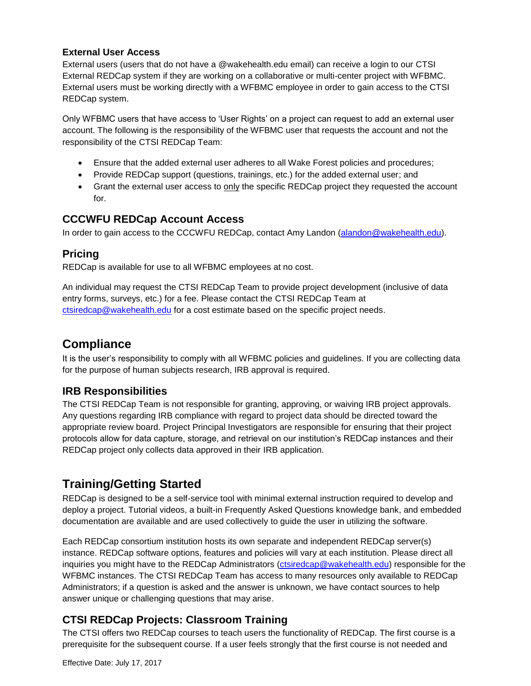#### <span id="page-2-0"></span>**External User Access**

External users (users that do not have a @wakehealth.edu email) can receive a login to our CTSI External REDCap system if they are working on a collaborative or multi-center project with WFBMC. External users must be working directly with a WFBMC employee in order to gain access to the CTSI REDCap system.

Only WFBMC users that have access to 'User Rights' on a project can request to add an external user account. The following is the responsibility of the WFBMC user that requests the account and not the responsibility of the CTSI REDCap Team:

- Ensure that the added external user adheres to all Wake Forest policies and procedures;
- Provide REDCap support (questions, trainings, etc.) for the added external user; and
- Grant the external user access to only the specific REDCap project they requested the account for.

### <span id="page-2-1"></span>**CCCWFU REDCap Account Access**

In order to gain access to the CCCWFU REDCap, contact Amy Landon [\(alandon@wakehealth.edu\)](mailto:alandon@wakehealth.edu).

### <span id="page-2-2"></span>**Pricing**

REDCap is available for use to all WFBMC employees at no cost.

An individual may request the CTSI REDCap Team to provide project development (inclusive of data entry forms, surveys, etc.) for a fee. Please contact the CTSI REDCap Team at [ctsiredcap@wakehealth.edu](mailto:%20ctsiredcap@wakehealth.edu) for a cost estimate based on the specific project needs.

# <span id="page-2-3"></span>**Compliance**

It is the user's responsibility to comply with all WFBMC policies and guidelines. If you are collecting data for the purpose of human subjects research, IRB approval is required.

# <span id="page-2-4"></span>**IRB Responsibilities**

The CTSI REDCap Team is not responsible for granting, approving, or waiving IRB project approvals. Any questions regarding IRB compliance with regard to project data should be directed toward the appropriate review board. Project Principal Investigators are responsible for ensuring that their project protocols allow for data capture, storage, and retrieval on our institution's REDCap instances and their REDCap project only collects data approved in their IRB application.

# <span id="page-2-5"></span>**Training/Getting Started**

REDCap is designed to be a self-service tool with minimal external instruction required to develop and deploy a project. Tutorial videos, a built-in Frequently Asked Questions knowledge bank, and embedded documentation are available and are used collectively to guide the user in utilizing the software.

Each REDCap consortium institution hosts its own separate and independent REDCap server(s) instance. REDCap software options, features and policies will vary at each institution. Please direct all inquiries you might have to the REDCap Administrators [\(ctsiredcap@wakehealth.edu](mailto:%20ctsiredcap@wakehealth.edu)) responsible for the WFBMC instances. The CTSI REDCap Team has access to many resources only available to REDCap Administrators; if a question is asked and the answer is unknown, we have contact sources to help answer unique or challenging questions that may arise.

# <span id="page-2-6"></span>**CTSI REDCap Projects: Classroom Training**

The CTSI offers two REDCap courses to teach users the functionality of REDCap. The first course is a prerequisite for the subsequent course. If a user feels strongly that the first course is not needed and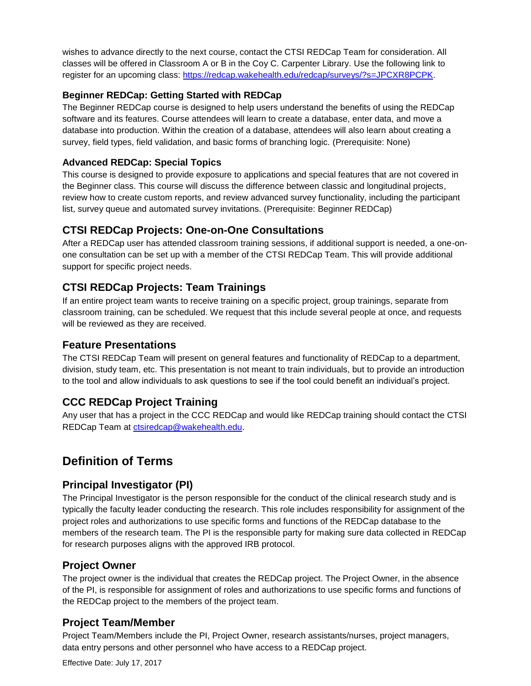wishes to advance directly to the next course, contact the CTSI REDCap Team for consideration. All classes will be offered in Classroom A or B in the Coy C. Carpenter Library. Use the following link to register for an upcoming class: [https://redcap.wakehealth.edu/redcap/surveys/?s=JPCXR8PCPK.](https://redcap.wakehealth.edu/redcap/surveys/?s=JPCXR8PCPK)

#### <span id="page-3-0"></span>**Beginner REDCap: Getting Started with REDCap**

The Beginner REDCap course is designed to help users understand the benefits of using the REDCap software and its features. Course attendees will learn to create a database, enter data, and move a database into production. Within the creation of a database, attendees will also learn about creating a survey, field types, field validation, and basic forms of branching logic. (Prerequisite: None)

#### <span id="page-3-1"></span>**Advanced REDCap: Special Topics**

This course is designed to provide exposure to applications and special features that are not covered in the Beginner class. This course will discuss the difference between classic and longitudinal projects, review how to create custom reports, and review advanced survey functionality, including the participant list, survey queue and automated survey invitations. (Prerequisite: Beginner REDCap)

### <span id="page-3-2"></span>**CTSI REDCap Projects: One-on-One Consultations**

After a REDCap user has attended classroom training sessions, if additional support is needed, a one-onone consultation can be set up with a member of the CTSI REDCap Team. This will provide additional support for specific project needs.

### <span id="page-3-3"></span>**CTSI REDCap Projects: Team Trainings**

If an entire project team wants to receive training on a specific project, group trainings, separate from classroom training, can be scheduled. We request that this include several people at once, and requests will be reviewed as they are received.

#### <span id="page-3-4"></span>**Feature Presentations**

The CTSI REDCap Team will present on general features and functionality of REDCap to a department, division, study team, etc. This presentation is not meant to train individuals, but to provide an introduction to the tool and allow individuals to ask questions to see if the tool could benefit an individual's project.

# <span id="page-3-5"></span>**CCC REDCap Project Training**

Any user that has a project in the CCC REDCap and would like REDCap training should contact the CTSI REDCap Team at [ctsiredcap@wakehealth.edu.](mailto:%20ctsiredcap@wakehealth.edu)

# <span id="page-3-6"></span>**Definition of Terms**

#### <span id="page-3-7"></span>**Principal Investigator (PI)**

The Principal Investigator is the person responsible for the conduct of the clinical research study and is typically the faculty leader conducting the research. This role includes responsibility for assignment of the project roles and authorizations to use specific forms and functions of the REDCap database to the members of the research team. The PI is the responsible party for making sure data collected in REDCap for research purposes aligns with the approved IRB protocol.

#### <span id="page-3-8"></span>**Project Owner**

The project owner is the individual that creates the REDCap project. The Project Owner, in the absence of the PI, is responsible for assignment of roles and authorizations to use specific forms and functions of the REDCap project to the members of the project team.

#### <span id="page-3-9"></span>**Project Team/Member**

Project Team/Members include the PI, Project Owner, research assistants/nurses, project managers, data entry persons and other personnel who have access to a REDCap project.

Effective Date: July 17, 2017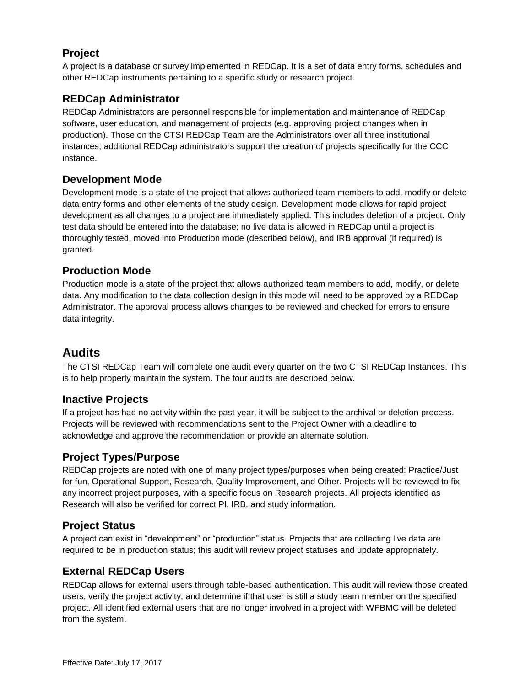# <span id="page-4-0"></span>**Project**

A project is a database or survey implemented in REDCap. It is a set of data entry forms, schedules and other REDCap instruments pertaining to a specific study or research project.

# <span id="page-4-1"></span>**REDCap Administrator**

REDCap Administrators are personnel responsible for implementation and maintenance of REDCap software, user education, and management of projects (e.g. approving project changes when in production). Those on the CTSI REDCap Team are the Administrators over all three institutional instances; additional REDCap administrators support the creation of projects specifically for the CCC instance.

# <span id="page-4-2"></span>**Development Mode**

Development mode is a state of the project that allows authorized team members to add, modify or delete data entry forms and other elements of the study design. Development mode allows for rapid project development as all changes to a project are immediately applied. This includes deletion of a project. Only test data should be entered into the database; no live data is allowed in REDCap until a project is thoroughly tested, moved into Production mode (described below), and IRB approval (if required) is granted.

# <span id="page-4-3"></span>**Production Mode**

Production mode is a state of the project that allows authorized team members to add, modify, or delete data. Any modification to the data collection design in this mode will need to be approved by a REDCap Administrator. The approval process allows changes to be reviewed and checked for errors to ensure data integrity.

# <span id="page-4-4"></span>**Audits**

The CTSI REDCap Team will complete one audit every quarter on the two CTSI REDCap Instances. This is to help properly maintain the system. The four audits are described below.

#### <span id="page-4-5"></span>**Inactive Projects**

If a project has had no activity within the past year, it will be subject to the archival or deletion process. Projects will be reviewed with recommendations sent to the Project Owner with a deadline to acknowledge and approve the recommendation or provide an alternate solution.

# <span id="page-4-6"></span>**Project Types/Purpose**

REDCap projects are noted with one of many project types/purposes when being created: Practice/Just for fun, Operational Support, Research, Quality Improvement, and Other. Projects will be reviewed to fix any incorrect project purposes, with a specific focus on Research projects. All projects identified as Research will also be verified for correct PI, IRB, and study information.

#### <span id="page-4-7"></span>**Project Status**

A project can exist in "development" or "production" status. Projects that are collecting live data are required to be in production status; this audit will review project statuses and update appropriately.

# <span id="page-4-8"></span>**External REDCap Users**

REDCap allows for external users through table-based authentication. This audit will review those created users, verify the project activity, and determine if that user is still a study team member on the specified project. All identified external users that are no longer involved in a project with WFBMC will be deleted from the system.